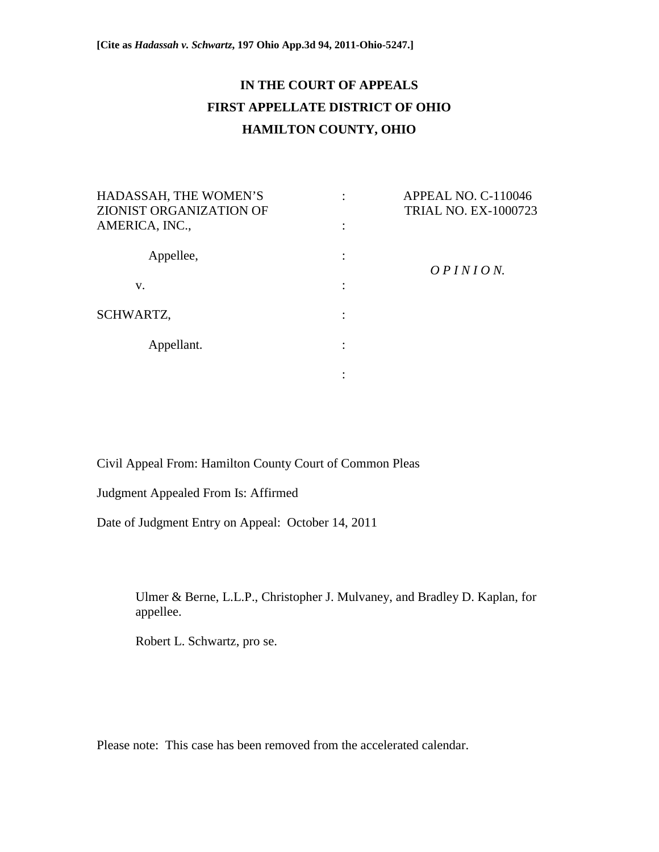## **IN THE COURT OF APPEALS FIRST APPELLATE DISTRICT OF OHIO HAMILTON COUNTY, OHIO**

| HADASSAH, THE WOMEN'S   | APPEAL NO. C-110046         |
|-------------------------|-----------------------------|
| ZIONIST ORGANIZATION OF | <b>TRIAL NO. EX-1000723</b> |
| AMERICA, INC.,          |                             |
| Appellee,               | $OPINION$ .                 |
| V.                      |                             |
| SCHWARTZ,               |                             |
| Appellant.              |                             |
|                         |                             |

Civil Appeal From: Hamilton County Court of Common Pleas

Judgment Appealed From Is: Affirmed

Date of Judgment Entry on Appeal: October 14, 2011

Ulmer & Berne, L.L.P., Christopher J. Mulvaney, and Bradley D. Kaplan, for appellee.

Robert L. Schwartz, pro se.

Please note: This case has been removed from the accelerated calendar.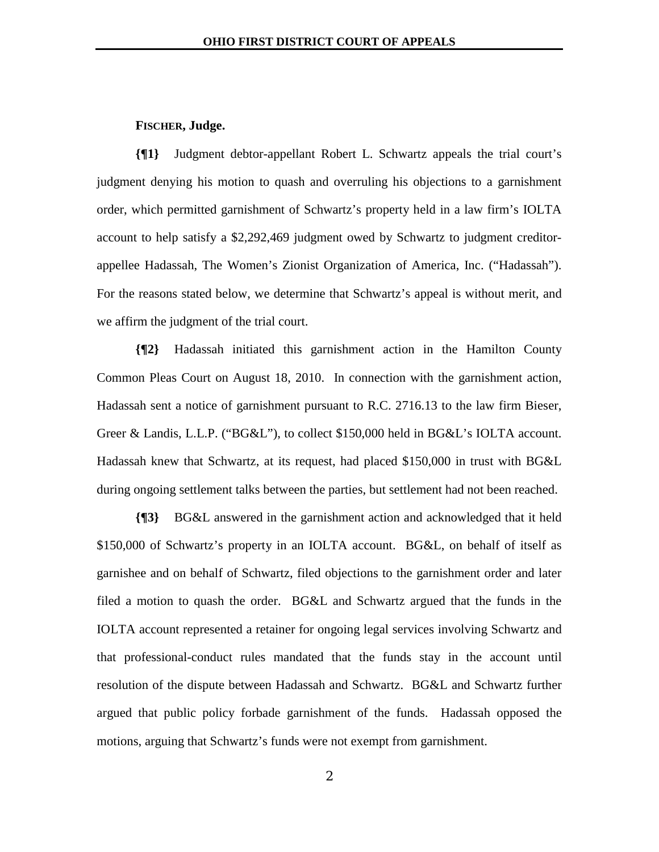## **FISCHER, Judge.**

**{¶1}** Judgment debtor-appellant Robert L. Schwartz appeals the trial court's judgment denying his motion to quash and overruling his objections to a garnishment order, which permitted garnishment of Schwartz's property held in a law firm's IOLTA account to help satisfy a \$2,292,469 judgment owed by Schwartz to judgment creditorappellee Hadassah, The Women's Zionist Organization of America, Inc. ("Hadassah"). For the reasons stated below, we determine that Schwartz's appeal is without merit, and we affirm the judgment of the trial court.

**{¶2}** Hadassah initiated this garnishment action in the Hamilton County Common Pleas Court on August 18, 2010. In connection with the garnishment action, Hadassah sent a notice of garnishment pursuant to R.C. 2716.13 to the law firm Bieser, Greer & Landis, L.L.P. ("BG&L"), to collect \$150,000 held in BG&L's IOLTA account. Hadassah knew that Schwartz, at its request, had placed \$150,000 in trust with BG&L during ongoing settlement talks between the parties, but settlement had not been reached.

**{¶3}** BG&L answered in the garnishment action and acknowledged that it held \$150,000 of Schwartz's property in an IOLTA account. BG&L, on behalf of itself as garnishee and on behalf of Schwartz, filed objections to the garnishment order and later filed a motion to quash the order. BG&L and Schwartz argued that the funds in the IOLTA account represented a retainer for ongoing legal services involving Schwartz and that professional-conduct rules mandated that the funds stay in the account until resolution of the dispute between Hadassah and Schwartz. BG&L and Schwartz further argued that public policy forbade garnishment of the funds. Hadassah opposed the motions, arguing that Schwartz's funds were not exempt from garnishment.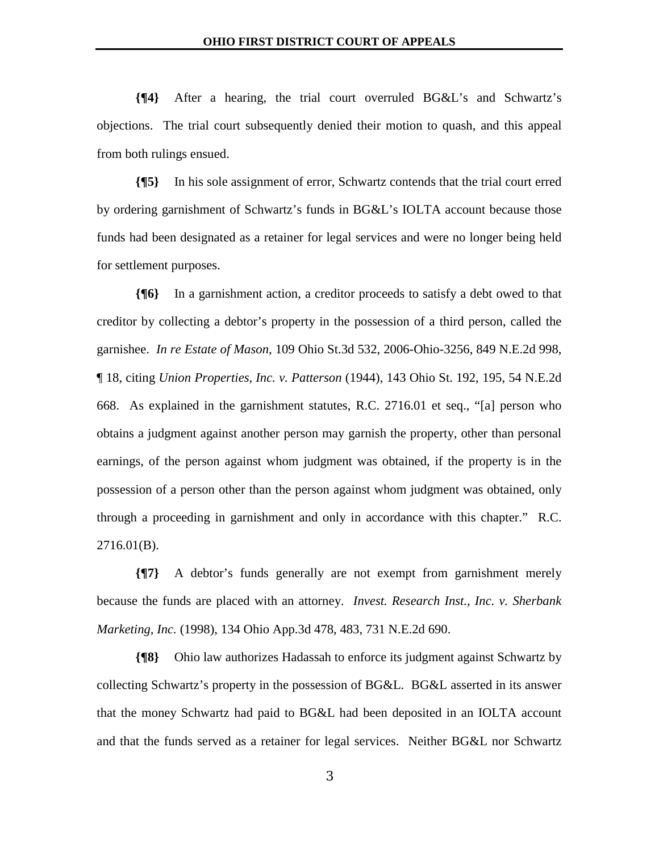**{¶4}** After a hearing, the trial court overruled BG&L's and Schwartz's objections. The trial court subsequently denied their motion to quash, and this appeal from both rulings ensued.

**{¶5}** In his sole assignment of error, Schwartz contends that the trial court erred by ordering garnishment of Schwartz's funds in BG&L's IOLTA account because those funds had been designated as a retainer for legal services and were no longer being held for settlement purposes.

**{¶6}** In a garnishment action, a creditor proceeds to satisfy a debt owed to that creditor by collecting a debtor's property in the possession of a third person, called the garnishee. *In re Estate of Mason*, 109 Ohio St.3d 532, 2006-Ohio-3256, 849 N.E.2d 998, ¶ 18, citing *Union Properties, Inc. v. Patterson* (1944), 143 Ohio St. 192, 195, 54 N.E.2d 668. As explained in the garnishment statutes, R.C. 2716.01 et seq., "[a] person who obtains a judgment against another person may garnish the property, other than personal earnings, of the person against whom judgment was obtained, if the property is in the possession of a person other than the person against whom judgment was obtained, only through a proceeding in garnishment and only in accordance with this chapter." R.C.  $2716.01(B)$ .

**{¶7}** A debtor's funds generally are not exempt from garnishment merely because the funds are placed with an attorney. *Invest. Research Inst., Inc. v. Sherbank Marketing, Inc.* (1998), 134 Ohio App.3d 478, 483, 731 N.E.2d 690.

**{¶8}** Ohio law authorizes Hadassah to enforce its judgment against Schwartz by collecting Schwartz's property in the possession of BG&L. BG&L asserted in its answer that the money Schwartz had paid to BG&L had been deposited in an IOLTA account and that the funds served as a retainer for legal services. Neither BG&L nor Schwartz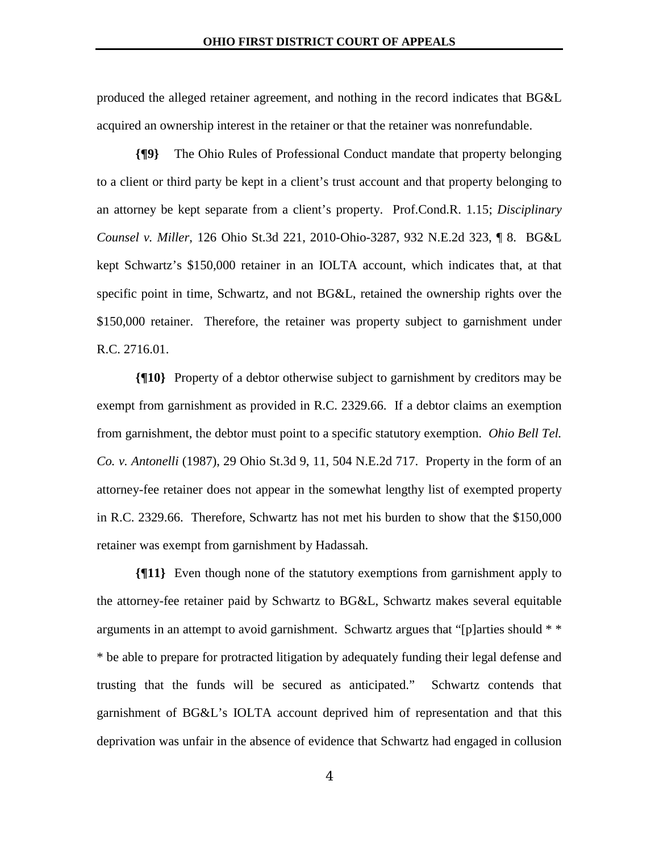produced the alleged retainer agreement, and nothing in the record indicates that BG&L acquired an ownership interest in the retainer or that the retainer was nonrefundable.

**{¶9}** The Ohio Rules of Professional Conduct mandate that property belonging to a client or third party be kept in a client's trust account and that property belonging to an attorney be kept separate from a client's property. Prof.Cond.R. 1.15; *Disciplinary Counsel v. Miller*, 126 Ohio St.3d 221, 2010-Ohio-3287, 932 N.E.2d 323, ¶ 8. BG&L kept Schwartz's \$150,000 retainer in an IOLTA account, which indicates that, at that specific point in time, Schwartz, and not BG&L, retained the ownership rights over the \$150,000 retainer. Therefore, the retainer was property subject to garnishment under R.C. 2716.01.

**{¶10}** Property of a debtor otherwise subject to garnishment by creditors may be exempt from garnishment as provided in R.C. 2329.66. If a debtor claims an exemption from garnishment, the debtor must point to a specific statutory exemption. *Ohio Bell Tel. Co. v. Antonelli* (1987), 29 Ohio St.3d 9, 11, 504 N.E.2d 717. Property in the form of an attorney-fee retainer does not appear in the somewhat lengthy list of exempted property in R.C. 2329.66. Therefore, Schwartz has not met his burden to show that the \$150,000 retainer was exempt from garnishment by Hadassah.

**{¶11}** Even though none of the statutory exemptions from garnishment apply to the attorney-fee retainer paid by Schwartz to BG&L, Schwartz makes several equitable arguments in an attempt to avoid garnishment. Schwartz argues that "[p]arties should \* \* \* be able to prepare for protracted litigation by adequately funding their legal defense and trusting that the funds will be secured as anticipated." Schwartz contends that garnishment of BG&L's IOLTA account deprived him of representation and that this deprivation was unfair in the absence of evidence that Schwartz had engaged in collusion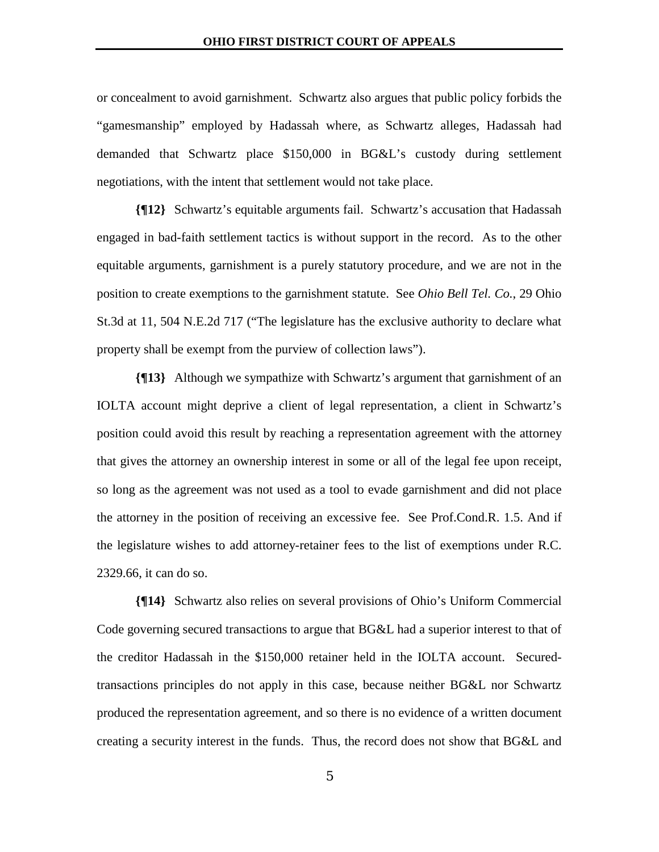or concealment to avoid garnishment. Schwartz also argues that public policy forbids the "gamesmanship" employed by Hadassah where, as Schwartz alleges, Hadassah had demanded that Schwartz place \$150,000 in BG&L's custody during settlement negotiations, with the intent that settlement would not take place.

**{¶12}** Schwartz's equitable arguments fail. Schwartz's accusation that Hadassah engaged in bad-faith settlement tactics is without support in the record. As to the other equitable arguments, garnishment is a purely statutory procedure, and we are not in the position to create exemptions to the garnishment statute. See *Ohio Bell Tel. Co.*, 29 Ohio St.3d at 11, 504 N.E.2d 717 ("The legislature has the exclusive authority to declare what property shall be exempt from the purview of collection laws").

**{¶13}** Although we sympathize with Schwartz's argument that garnishment of an IOLTA account might deprive a client of legal representation, a client in Schwartz's position could avoid this result by reaching a representation agreement with the attorney that gives the attorney an ownership interest in some or all of the legal fee upon receipt, so long as the agreement was not used as a tool to evade garnishment and did not place the attorney in the position of receiving an excessive fee. See Prof.Cond.R. 1.5. And if the legislature wishes to add attorney-retainer fees to the list of exemptions under R.C. 2329.66, it can do so.

**{¶14}** Schwartz also relies on several provisions of Ohio's Uniform Commercial Code governing secured transactions to argue that BG&L had a superior interest to that of the creditor Hadassah in the \$150,000 retainer held in the IOLTA account. Securedtransactions principles do not apply in this case, because neither BG&L nor Schwartz produced the representation agreement, and so there is no evidence of a written document creating a security interest in the funds. Thus, the record does not show that BG&L and